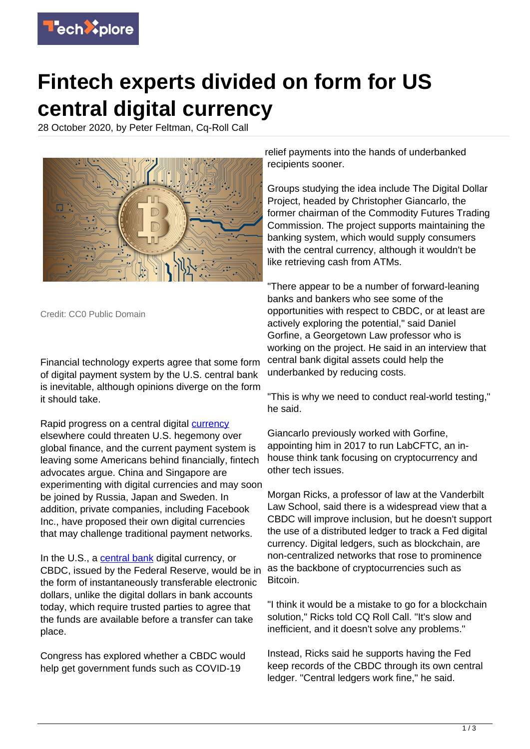

## **Fintech experts divided on form for US central digital currency**

28 October 2020, by Peter Feltman, Cq-Roll Call



Credit: CC0 Public Domain

Financial technology experts agree that some form of digital payment system by the U.S. central bank is inevitable, although opinions diverge on the form it should take.

Rapid progress on a central digital [currency](https://techxplore.com/tags/currency/) elsewhere could threaten U.S. hegemony over global finance, and the current payment system is leaving some Americans behind financially, fintech advocates argue. China and Singapore are experimenting with digital currencies and may soon be joined by Russia, Japan and Sweden. In addition, private companies, including Facebook Inc., have proposed their own digital currencies that may challenge traditional payment networks.

In the U.S., a [central bank](https://techxplore.com/tags/central+bank/) digital currency, or CBDC, issued by the Federal Reserve, would be in the form of instantaneously transferable electronic dollars, unlike the digital dollars in bank accounts today, which require trusted parties to agree that the funds are available before a transfer can take place.

Congress has explored whether a CBDC would help get government funds such as COVID-19

relief payments into the hands of underbanked recipients sooner.

Groups studying the idea include The Digital Dollar Project, headed by Christopher Giancarlo, the former chairman of the Commodity Futures Trading Commission. The project supports maintaining the banking system, which would supply consumers with the central currency, although it wouldn't be like retrieving cash from ATMs.

"There appear to be a number of forward-leaning banks and bankers who see some of the opportunities with respect to CBDC, or at least are actively exploring the potential," said Daniel Gorfine, a Georgetown Law professor who is working on the project. He said in an interview that central bank digital assets could help the underbanked by reducing costs.

"This is why we need to conduct real-world testing," he said.

Giancarlo previously worked with Gorfine, appointing him in 2017 to run LabCFTC, an inhouse think tank focusing on cryptocurrency and other tech issues.

Morgan Ricks, a professor of law at the Vanderbilt Law School, said there is a widespread view that a CBDC will improve inclusion, but he doesn't support the use of a distributed ledger to track a Fed digital currency. Digital ledgers, such as blockchain, are non-centralized networks that rose to prominence as the backbone of cryptocurrencies such as Bitcoin.

"I think it would be a mistake to go for a blockchain solution," Ricks told CQ Roll Call. "It's slow and inefficient, and it doesn't solve any problems."

Instead, Ricks said he supports having the Fed keep records of the CBDC through its own central ledger. "Central ledgers work fine," he said.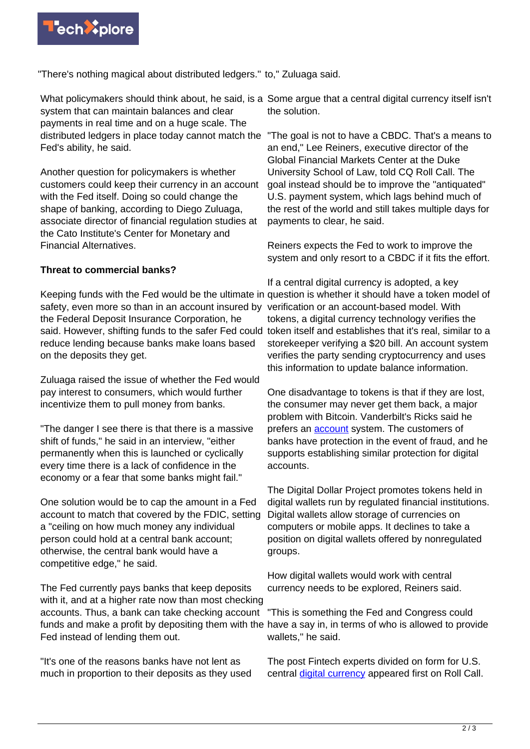

"There's nothing magical about distributed ledgers." to," Zuluaga said.

What policymakers should think about, he said, is a Some argue that a central digital currency itself isn't system that can maintain balances and clear payments in real time and on a huge scale. The Fed's ability, he said.

Another question for policymakers is whether customers could keep their currency in an account with the Fed itself. Doing so could change the shape of banking, according to Diego Zuluaga, associate director of financial regulation studies at the Cato Institute's Center for Monetary and Financial Alternatives.

## **Threat to commercial banks?**

Keeping funds with the Fed would be the ultimate in question is whether it should have a token model of safety, even more so than in an account insured by verification or an account-based model. With the Federal Deposit Insurance Corporation, he said. However, shifting funds to the safer Fed could token itself and establishes that it's real, similar to a reduce lending because banks make loans based on the deposits they get.

Zuluaga raised the issue of whether the Fed would pay interest to consumers, which would further incentivize them to pull money from banks.

"The danger I see there is that there is a massive shift of funds," he said in an interview, "either permanently when this is launched or cyclically every time there is a lack of confidence in the economy or a fear that some banks might fail."

One solution would be to cap the amount in a Fed account to match that covered by the FDIC, setting a "ceiling on how much money any individual person could hold at a central bank account; otherwise, the central bank would have a competitive edge," he said.

The Fed currently pays banks that keep deposits with it, and at a higher rate now than most checking accounts. Thus, a bank can take checking account funds and make a profit by depositing them with the have a say in, in terms of who is allowed to provide Fed instead of lending them out.

"It's one of the reasons banks have not lent as much in proportion to their deposits as they used the solution.

distributed ledgers in place today cannot match the "The goal is not to have a CBDC. That's a means to an end," Lee Reiners, executive director of the Global Financial Markets Center at the Duke University School of Law, told CQ Roll Call. The goal instead should be to improve the "antiquated" U.S. payment system, which lags behind much of the rest of the world and still takes multiple days for payments to clear, he said.

> Reiners expects the Fed to work to improve the system and only resort to a CBDC if it fits the effort.

> If a central digital currency is adopted, a key tokens, a digital currency technology verifies the storekeeper verifying a \$20 bill. An account system verifies the party sending cryptocurrency and uses this information to update balance information.

One disadvantage to tokens is that if they are lost, the consumer may never get them back, a major problem with Bitcoin. Vanderbilt's Ricks said he prefers an [account](https://techxplore.com/tags/account/) system. The customers of banks have protection in the event of fraud, and he supports establishing similar protection for digital accounts.

The Digital Dollar Project promotes tokens held in digital wallets run by regulated financial institutions. Digital wallets allow storage of currencies on computers or mobile apps. It declines to take a position on digital wallets offered by nonregulated groups.

How digital wallets would work with central currency needs to be explored, Reiners said.

"This is something the Fed and Congress could wallets," he said.

The post Fintech experts divided on form for U.S. central [digital currency](https://techxplore.com/tags/digital+currency/) appeared first on Roll Call.